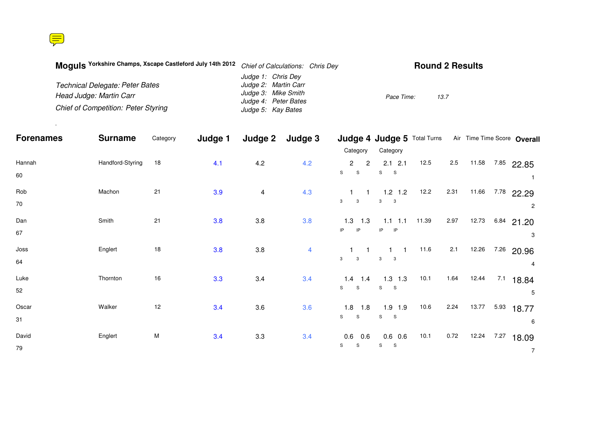.

| Moquis Yorkshire Champs, Xscape Castleford July 14th 2012 | Chief of Calculations: Chris Dey | <b>Round 2 Results</b> |
|-----------------------------------------------------------|----------------------------------|------------------------|
|                                                           | Judge 1: Chris Dey               |                        |
| Technical Delegate: Peter Bates                           | Judge 2: Martin Carr             |                        |
| Head Judge: Martin Carr                                   | Judge 3: Mike Smith              | Pace Time:<br>13.7     |
|                                                           | Judge 4: Peter Bates             |                        |
| <b>Chief of Competition: Peter Styring</b>                | Judge 5: Kay Bates               |                        |

| <b>Forenames</b> | <b>Surname</b>   | Category | Judge 1 | Judge 2 | Judge 3        |                                                            |                                |       |         |       | Judge 4 Judge 5 Total Turns Air Time Time Score Overall |                |
|------------------|------------------|----------|---------|---------|----------------|------------------------------------------------------------|--------------------------------|-------|---------|-------|---------------------------------------------------------|----------------|
|                  |                  |          |         |         |                | Category                                                   | Category                       |       |         |       |                                                         |                |
| Hannah<br>60     | Handford-Styring | 18       | 4.1     | 4.2     | 4.2            | $\overline{2}$<br>$\overline{2}$<br>${\tt S}$<br>${\tt S}$ | $2.1$ 2.1<br>S<br>$\mathbf S$  | 12.5  | $2.5\,$ | 11.58 | 7.85 22.85                                              |                |
| Rob<br>70        | Machon           | 21       | 3.9     | 4       | 4.3            | $\sim$ 1<br>3<br>3                                         | $1.2$ 1.2<br>3<br>$\mathbf{3}$ | 12.2  | 2.31    | 11.66 | 7.78<br>22.29                                           | 2              |
| Dan<br>67        | Smith            | 21       | 3.8     | 3.8     | 3.8            | $1.3$ 1.3<br>IP<br>IP                                      | $1.1$ 1.1<br>$IP$ $IP$         | 11.39 | 2.97    | 12.73 | $6.84$ 21.20                                            | 3              |
| JosS<br>64       | Englert          | $18$     | 3.8     | 3.8     | $\overline{4}$ | $\mathbf{3}$<br>3                                          | $1 \quad 1$<br>$3^{\circ}$ 3   | 11.6  | 2.1     | 12.26 | 7.26 20.96                                              | $\overline{4}$ |
| Luke<br>52       | Thornton         | 16       | 3.3     | 3.4     | 3.4            | $1.4$ 1.4<br>S<br>$\mathsf S$                              | $1.3$ 1.3<br>$S_S$             | 10.1  | 1.64    | 12.44 | 7.1<br>18.84                                            | 5              |
| Oscar<br>31      | Walker           | 12       | 3.4     | 3.6     | 3.6            | $1.8$ 1.8<br>S<br>$\mathsf S$                              | $1.9$ 1.9<br>S S               | 10.6  | 2.24    | 13.77 | 5.93<br>18.77                                           | 6              |
| David<br>79      | Englert          | М        | 3.4     | 3.3     | 3.4            | $0.6$ 0.6<br>S<br>${\mathsf S}$                            | $0.6$ 0.6<br>S<br>S            | 10.1  | 0.72    | 12.24 | 7.27<br>18.09                                           | $\overline{7}$ |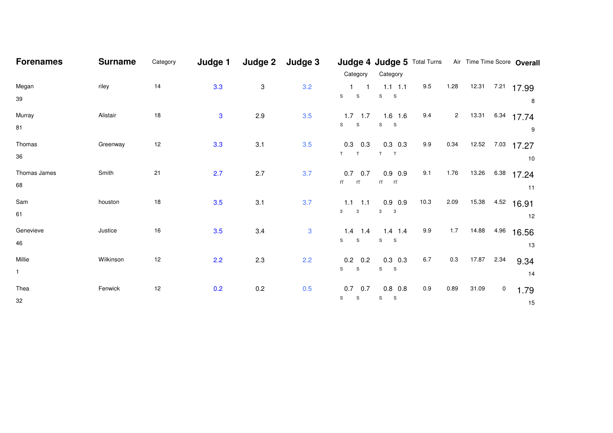| <b>Forenames</b> | <b>Surname</b> | Category | Judge 1 | Judge 2 | Judge 3      |                                           | Judge 4 Judge 5 Total Turns Air Time Time Score Overall |      |                |       |      |       |
|------------------|----------------|----------|---------|---------|--------------|-------------------------------------------|---------------------------------------------------------|------|----------------|-------|------|-------|
|                  |                |          |         |         |              | Category                                  | Category                                                |      |                |       |      |       |
| Megan            | riley          | 14       | 3.3     | 3       | 3.2          | $1 \quad 1$                               | $1.1$ 1.1                                               | 9.5  | 1.28           | 12.31 | 7.21 | 17.99 |
| 39               |                |          |         |         |              | ${\tt S}$<br>S                            | ${\tt S}$<br>$\mathbf S$                                |      |                |       |      | 8     |
| Murray           | Alistair       | 18       | 3       | 2.9     | 3.5          | $1.7$ 1.7                                 | $1.6$ 1.6                                               | 9.4  | $\overline{a}$ | 13.31 | 6.34 | 17.74 |
| 81               |                |          |         |         |              | S<br>S                                    | $\mathsf{s}$<br>$\mathbf{s}$                            |      |                |       |      | 9     |
| Thomas           | Greenway       | 12       | 3.3     | 3.1     | 3.5          | $0.3$ 0.3                                 | $0.3$ 0.3                                               | 9.9  | 0.34           | 12.52 | 7.03 | 17.27 |
| 36               |                |          |         |         |              | $T$ T                                     | T<br>T                                                  |      |                |       |      | 10    |
| Thomas James     | Smith          | 21       | 2.7     | 2.7     | 3.7          | $0.7$ 0.7                                 | $0.9$ 0.9                                               | 9.1  | 1.76           | 13.26 | 6.38 | 17.24 |
| 68               |                |          |         |         |              | $fT$ $fT$                                 | $fT$ $fT$                                               |      |                |       |      | 11    |
| Sam              | houston        | 18       | 3.5     | 3.1     | 3.7          | $1.1$ 1.1                                 | $0.9$ 0.9                                               | 10.3 | 2.09           | 15.38 | 4.52 | 16.91 |
| 61               |                |          |         |         |              | $\overline{\mathbf{3}}$<br>3 <sup>1</sup> | 3<br>$\overline{\phantom{a}}$ 3                         |      |                |       |      | 12    |
| Genevieve        | Justice        | 16       | 3.5     | 3.4     | $\mathbf{3}$ | $1.4$ 1.4                                 | $1.4$ 1.4                                               | 9.9  | 1.7            | 14.88 | 4.96 | 16.56 |
| 46               |                |          |         |         |              | S<br>S                                    | S <sub>S</sub>                                          |      |                |       |      | 13    |
| Millie           | Wilkinson      | 12       | 2.2     | 2.3     | 2.2          | $0.2 \quad 0.2$                           | $0.3$ 0.3                                               | 6.7  | 0.3            | 17.87 | 2.34 | 9.34  |
| $\mathbf{1}$     |                |          |         |         |              | S<br>S                                    | S<br>$\mathbf{s}$                                       |      |                |       |      | 14    |
| Thea             | Fenwick        | 12       | 0.2     | $0.2\,$ | 0.5          | $0.7$ 0.7                                 | $0.8$ 0.8                                               | 0.9  | 0.89           | 31.09 | 0    | 1.79  |
| 32               |                |          |         |         |              | ${\tt S}$<br>$\mathbb S$                  | S<br>$\mathbf{s}$                                       |      |                |       |      | 15    |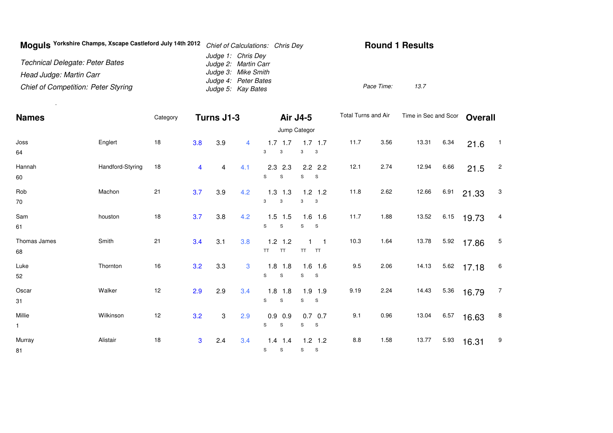| Moquis Yorkshire Champs, Xscape Castleford July 14th 2012 | Chief of Calculations: Chris Dey            | <b>Round 1 Results</b> |
|-----------------------------------------------------------|---------------------------------------------|------------------------|
| Technical Delegate: Peter Bates                           | Judge 1: Chris Dey<br>Judge 2: Martin Carr  |                        |
| Head Judge: Martin Carr                                   | Judge 3: Mike Smith<br>Judge 4: Peter Bates |                        |
| <b>Chief of Competition: Peter Styring</b>                | Judge 5: Kay Bates                          | 13.7<br>Pace Time:     |

.

| <b>Names</b>           |                  | Category | Turns J1-3 |     |     |                                     | Air J4-5                            | Total Turns and Air |      | Time in Sec and Scor |      | <b>Overall</b> |                          |
|------------------------|------------------|----------|------------|-----|-----|-------------------------------------|-------------------------------------|---------------------|------|----------------------|------|----------------|--------------------------|
|                        |                  |          |            |     |     |                                     | Jump Categor                        |                     |      |                      |      |                |                          |
| Joss<br>64             | Englert          | 18       | 3.8        | 3.9 | 4   | $1.7$ 1.7<br>3<br>3                 | $1.7$ 1.7<br>3<br>$\mathbf{3}$      | 11.7                | 3.56 | 13.31                | 6.34 | 21.6           | $\overline{\phantom{1}}$ |
| Hannah<br>60           | Handford-Styring | 18       | 4          | 4   | 4.1 | 2.3<br>2.3<br>S<br>${\tt S}$        | $2.2$ $2.2$<br>S<br>$\mathbf{s}$    | 12.1                | 2.74 | 12.94                | 6.66 | 21.5           | $\overline{c}$           |
| Rob<br>70              | Machon           | 21       | 3.7        | 3.9 | 4.2 | $1.3$ 1.3<br>3<br>3                 | $1.2$ 1.2<br>3<br>$\mathbf{3}$      | 11.8                | 2.62 | 12.66                | 6.91 | 21.33          | 3                        |
| Sam<br>61              | houston          | 18       | 3.7        | 3.8 | 4.2 | $1.5$ 1.5<br>S<br>S                 | $1.6$ 1.6<br>$\mathbf{s}$<br>S      | 11.7                | 1.88 | 13.52                | 6.15 | 19.73          | 4                        |
| Thomas James<br>68     | Smith            | 21       | 3.4        | 3.1 | 3.8 | $1.2$ 1.2<br><b>TT</b><br><b>TT</b> | $\blacksquare$ 1<br>TT<br><b>TT</b> | 10.3                | 1.64 | 13.78                | 5.92 | 17.86          | 5                        |
| Luke<br>52             | Thornton         | 16       | 3.2        | 3.3 | 3   | $1.8$ 1.8<br>S<br>S                 | $1.6$ 1.6<br>S<br><b>S</b>          | 9.5                 | 2.06 | 14.13                | 5.62 | 17.18          | 6                        |
| Oscar<br>31            | Walker           | 12       | 2.9        | 2.9 | 3.4 | $1.8$ 1.8<br>S<br>$\mathbf S$       | $1.9$ 1.9<br>S<br>$\mathbf{s}$      | 9.19                | 2.24 | 14.43                | 5.36 | 16.79          | $\overline{7}$           |
| Millie<br>$\mathbf{1}$ | Wilkinson        | 12       | 3.2        | 3   | 2.9 | 0.9<br>0.9<br>S<br>$\mathbb S$      | $0.7$ 0.7<br>S<br>$\mathbf{s}$      | 9.1                 | 0.96 | 13.04                | 6.57 | 16.63          | 8                        |
| Murray<br>81           | Alistair         | 18       | 3          | 2.4 | 3.4 | $1.4$ 1.4<br>S<br>S                 | $1.2$ 1.2<br>S<br><b>S</b>          | 8.8                 | 1.58 | 13.77                | 5.93 | 16.31          | 9                        |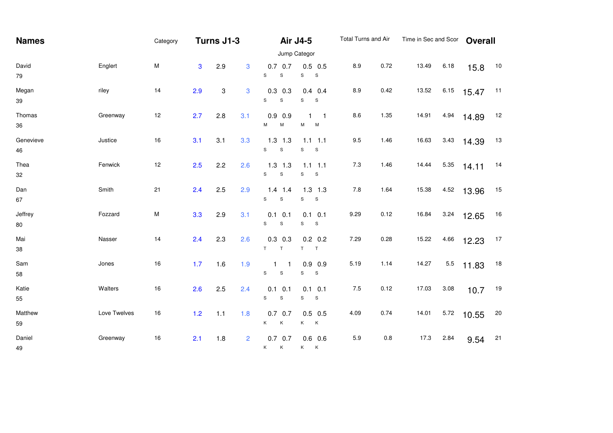| <b>Names</b>      |              | Category     |              | Turns J1-3 |                |                                          | <b>Air J4-5</b>                            | Total Turns and Air |      | Time in Sec and Scor |      | <b>Overall</b> |    |  |  |
|-------------------|--------------|--------------|--------------|------------|----------------|------------------------------------------|--------------------------------------------|---------------------|------|----------------------|------|----------------|----|--|--|
|                   |              | Jump Categor |              |            |                |                                          |                                            |                     |      |                      |      |                |    |  |  |
| David<br>$\bf 79$ | Englert      | M            | $\mathbf{3}$ | 2.9        | 3              | $0.7$ 0.7<br>S<br>$\mathbf S$            | $0.5$ 0.5<br>S<br>${\sf S}$                | 8.9                 | 0.72 | 13.49                | 6.18 | 15.8           | 10 |  |  |
| Megan<br>39       | riley        | 14           | 2.9          | 3          | 3              | $0.3$ 0.3<br>$\mathsf{s}$<br>$\mathbf S$ | $0.4$ 0.4<br>S<br>S                        | 8.9                 | 0.42 | 13.52                | 6.15 | 15.47          | 11 |  |  |
| Thomas<br>36      | Greenway     | 12           | 2.7          | 2.8        | 3.1            | $0.9$ 0.9<br>M<br>M                      | $\mathbf{1}$<br>$\blacksquare$ 1<br>М<br>M | 8.6                 | 1.35 | 14.91                | 4.94 | 14.89          | 12 |  |  |
| Genevieve<br>46   | Justice      | 16           | 3.1          | 3.1        | 3.3            | $1.3$ 1.3<br>S<br>$\mathbf S$            | $1.1$ 1.1<br>S<br>${\mathsf S}$            | 9.5                 | 1.46 | 16.63                | 3.43 | 14.39          | 13 |  |  |
| Thea<br>32        | Fenwick      | 12           | 2.5          | 2.2        | 2.6            | $1.3$ 1.3<br>S<br>$\mathbf S$            | $1.1$ 1.1<br>S<br>S                        | 7.3                 | 1.46 | 14.44                | 5.35 | 14.11          | 14 |  |  |
| Dan<br>67         | Smith        | 21           | 2.4          | 2.5        | 2.9            | $1.4$ 1.4<br>$\mathsf{s}$<br>$\mathbb S$ | $1.3$ 1.3<br>S<br>$\mathbf S$              | 7.8                 | 1.64 | 15.38                | 4.52 | 13.96          | 15 |  |  |
| Jeffrey<br>80     | Fozzard      | ${\sf M}$    | 3.3          | 2.9        | 3.1            | $0.1$ 0.1<br>S<br>$\mathbf S$            | $0.1$ 0.1<br>S<br>S                        | 9.29                | 0.12 | 16.84                | 3.24 | 12.65          | 16 |  |  |
| Mai<br>38         | Nasser       | 14           | 2.4          | 2.3        | 2.6            | $0.3$ 0.3<br>T<br>T.                     | $0.2$ 0.2<br>T<br>T                        | 7.29                | 0.28 | 15.22                | 4.66 | 12.23          | 17 |  |  |
| Sam<br>58         | Jones        | 16           | 1.7          | 1.6        | 1.9            | S<br>S                                   | $0.9$ 0.9<br>S<br>S                        | 5.19                | 1.14 | 14.27                | 5.5  | 11.83          | 18 |  |  |
| Katie<br>55       | Walters      | 16           | 2.6          | 2.5        | 2.4            | $0.1$ 0.1<br>S<br>${\mathsf S}$          | $0.1$ 0.1<br>S<br>S                        | $7.5$               | 0.12 | 17.03                | 3.08 | 10.7           | 19 |  |  |
| Matthew<br>59     | Love Twelves | 16           | $1.2$        | 1.1        | 1.8            | $0.7$ 0.7<br>K.<br>К                     | $0.5$ 0.5<br>K<br>$\mathsf{K}$             | 4.09                | 0.74 | 14.01                | 5.72 | 10.55          | 20 |  |  |
| Daniel<br>49      | Greenway     | 16           | 2.1          | 1.8        | $\overline{2}$ | $0.7$ 0.7<br>Κ<br>K                      | $0.6$ 0.6<br>K<br>$\mathsf{K}$             | 5.9                 | 0.8  | 17.3                 | 2.84 | 9.54           | 21 |  |  |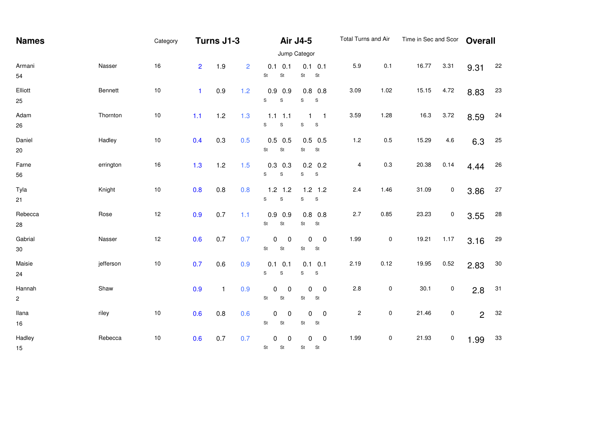| <b>Names</b>           |           | Category     | Turns J1-3     |              |                |                                                   | Air J4-5                                             | Total Turns and Air     |           | Time in Sec and Scor |           | <b>Overall</b> |        |  |  |
|------------------------|-----------|--------------|----------------|--------------|----------------|---------------------------------------------------|------------------------------------------------------|-------------------------|-----------|----------------------|-----------|----------------|--------|--|--|
|                        |           | Jump Categor |                |              |                |                                                   |                                                      |                         |           |                      |           |                |        |  |  |
| Armani<br>54           | Nasser    | 16           | $\overline{2}$ | 1.9          | $\overline{2}$ | $0.1 \quad 0.1$<br>St<br>St                       | $0.1$ 0.1<br>St<br>St                                | 5.9                     | 0.1       | 16.77                | 3.31      | 9.31           | 22     |  |  |
| Elliott<br>25          | Bennett   | $10$         | $\blacksquare$ | 0.9          | $1.2$          | $0.9$ 0.9<br>$\mathsf{s}$<br>S                    | $0.8\ 0.8$<br>S<br>${\mathbb S}$                     | 3.09                    | 1.02      | 15.15                | 4.72      | 8.83           | 23     |  |  |
| Adam<br>26             | Thornton  | $10$         | 1.1            | 1.2          | 1.3            | $1.1 \quad 1.1$<br>$\mathsf{s}$<br>$\mathbf S$    | $\mathbf{1}$<br>$\blacksquare$<br>S<br>${\mathbb S}$ | 3.59                    | 1.28      | 16.3                 | 3.72      | 8.59           | 24     |  |  |
| Daniel<br>$20\,$       | Hadley    | $10\,$       | 0.4            | 0.3          | 0.5            | $0.5$ 0.5<br>St<br>St                             | $0.5$ 0.5<br>St<br>St                                | 1.2                     | $0.5\,$   | 15.29                | 4.6       | 6.3            | 25     |  |  |
| Farne<br>56            | errington | 16           | 1.3            | 1.2          | 1.5            | $0.3$ 0.3<br>$\mathsf{s}$<br>$\mathbf S$          | $0.2 \quad 0.2$<br>S<br>$\mathbf{s}$                 | $\overline{\mathbf{4}}$ | $0.3\,$   | 20.38                | 0.14      | 4.44           | 26     |  |  |
| Tyla<br>21             | Knight    | $10$         | 0.8            | 0.8          | 0.8            | $1.2$ 1.2<br>${\tt S}$<br>$\mathbf S$             | $1.2$ 1.2<br>${\sf S}$<br>S                          | $2.4\,$                 | 1.46      | 31.09                | $\pmb{0}$ | 3.86           | $27\,$ |  |  |
| Rebecca<br>28          | Rose      | 12           | 0.9            | 0.7          | 1.1            | $0.9$ 0.9<br>St<br>St                             | $0.8$ 0.8<br>St<br>St                                | 2.7                     | 0.85      | 23.23                | $\pmb{0}$ | 3.55           | $28\,$ |  |  |
| Gabrial<br>$30\,$      | Nasser    | 12           | 0.6            | 0.7          | 0.7            | $\mathbf 0$<br>$\mathbf 0$<br>$\mathsf{St}$<br>St | $\mathbf 0$<br>$\mathbf 0$<br>St<br>St               | 1.99                    | $\pmb{0}$ | 19.21                | 1.17      | 3.16           | 29     |  |  |
| Maisie<br>24           | jefferson | $10$         | 0.7            | 0.6          | 0.9            | $0.1 \quad 0.1$<br>$\mathbb S$<br>S               | $0.1$ 0.1<br>S<br>${\mathsf S}$                      | 2.19                    | 0.12      | 19.95                | 0.52      | 2.83           | $30\,$ |  |  |
| Hannah<br>$\mathbf{2}$ | Shaw      |              | 0.9            | $\mathbf{1}$ | 0.9            | $\pmb{0}$<br>$\mathbf 0$<br>St<br>St              | $\pmb{0}$<br>$\mathbf 0$<br>St<br>St                 | 2.8                     | $\pmb{0}$ | 30.1                 | $\pmb{0}$ | 2.8            | 31     |  |  |
| llana<br>$16\,$        | riley     | $10\,$       | 0.6            | 0.8          | 0.6            | 0<br>$\mathbf 0$<br>$\mathsf{St}$<br>St           | $\pmb{0}$<br>0<br>St<br><b>St</b>                    | $\sqrt{2}$              | $\pmb{0}$ | 21.46                | $\pmb{0}$ | $\overline{2}$ | 32     |  |  |
| Hadley<br>15           | Rebecca   | $10$         | 0.6            | 0.7          | 0.7            | $\pmb{0}$<br>$\Omega$<br>St<br><b>St</b>          | $\pmb{0}$<br>0<br>St<br><b>St</b>                    | 1.99                    | $\pmb{0}$ | 21.93                | $\pmb{0}$ | 1.99           | $33\,$ |  |  |